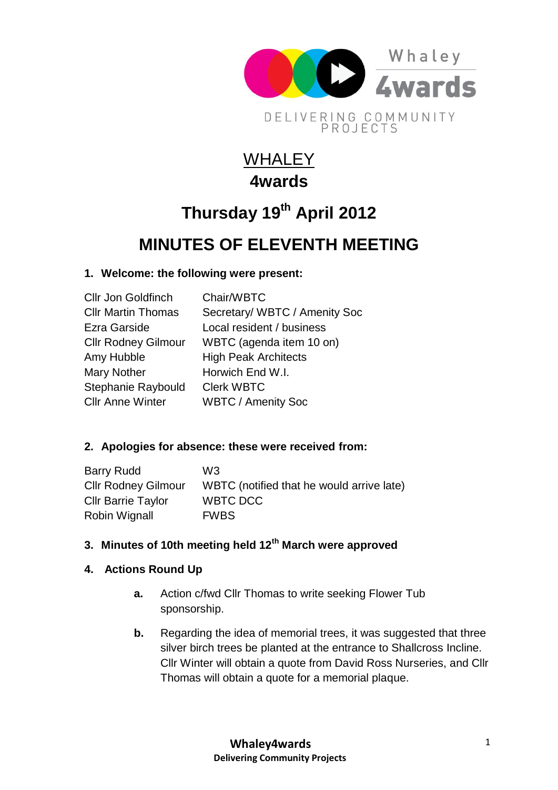

# **WHALEY 4wards**

# **Thursday 19th April 2012**

# **MINUTES OF ELEVENTH MEETING**

### **1. Welcome: the following were present:**

| <b>Cllr Jon Goldfinch</b>  | Chair/WBTC                    |
|----------------------------|-------------------------------|
| <b>CIIr Martin Thomas</b>  | Secretary/ WBTC / Amenity Soc |
| Ezra Garside               | Local resident / business     |
| <b>Cllr Rodney Gilmour</b> | WBTC (agenda item 10 on)      |
| Amy Hubble                 | <b>High Peak Architects</b>   |
| <b>Mary Nother</b>         | Horwich End W.I.              |
| Stephanie Raybould         | <b>Clerk WBTC</b>             |
| <b>Cllr Anne Winter</b>    | <b>WBTC / Amenity Soc</b>     |
|                            |                               |

### **2. Apologies for absence: these were received from:**

| Barry Rudd                 | W3                                        |
|----------------------------|-------------------------------------------|
| <b>Cllr Rodney Gilmour</b> | WBTC (notified that he would arrive late) |
| <b>CIIr Barrie Taylor</b>  | WBTC DCC                                  |
| Robin Wignall              | <b>FWBS</b>                               |

## **3. Minutes of 10th meeting held 12th March were approved**

### **4. Actions Round Up**

- **a.** Action c/fwd Cllr Thomas to write seeking Flower Tub sponsorship.
- **b.** Regarding the idea of memorial trees, it was suggested that three silver birch trees be planted at the entrance to Shallcross Incline. Cllr Winter will obtain a quote from David Ross Nurseries, and Cllr Thomas will obtain a quote for a memorial plaque.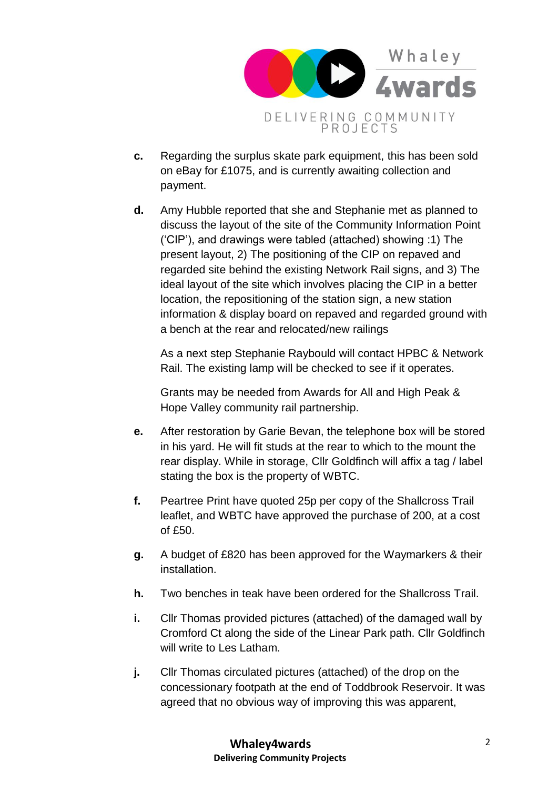

- **c.** Regarding the surplus skate park equipment, this has been sold on eBay for £1075, and is currently awaiting collection and payment.
- **d.** Amy Hubble reported that she and Stephanie met as planned to discuss the layout of the site of the Community Information Point ('CIP'), and drawings were tabled (attached) showing :1) The present layout, 2) The positioning of the CIP on repaved and regarded site behind the existing Network Rail signs, and 3) The ideal layout of the site which involves placing the CIP in a better location, the repositioning of the station sign, a new station information & display board on repaved and regarded ground with a bench at the rear and relocated/new railings

As a next step Stephanie Raybould will contact HPBC & Network Rail. The existing lamp will be checked to see if it operates.

Grants may be needed from Awards for All and High Peak & Hope Valley community rail partnership.

- **e.** After restoration by Garie Bevan, the telephone box will be stored in his yard. He will fit studs at the rear to which to the mount the rear display. While in storage, Cllr Goldfinch will affix a tag / label stating the box is the property of WBTC.
- **f.** Peartree Print have quoted 25p per copy of the Shallcross Trail leaflet, and WBTC have approved the purchase of 200, at a cost of £50.
- **g.** A budget of £820 has been approved for the Waymarkers & their installation.
- **h.** Two benches in teak have been ordered for the Shallcross Trail.
- **i.** Cllr Thomas provided pictures (attached) of the damaged wall by Cromford Ct along the side of the Linear Park path. Cllr Goldfinch will write to Les Latham.
- **j.** Cllr Thomas circulated pictures (attached) of the drop on the concessionary footpath at the end of Toddbrook Reservoir. It was agreed that no obvious way of improving this was apparent,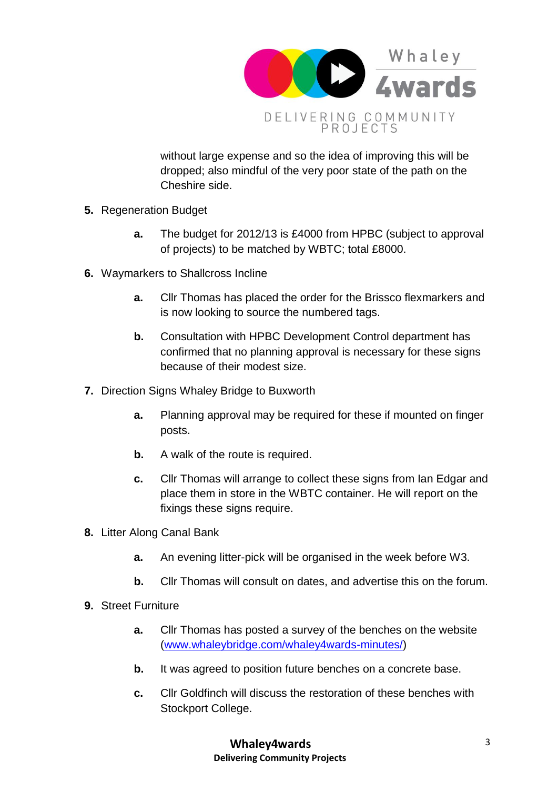

without large expense and so the idea of improving this will be dropped; also mindful of the very poor state of the path on the Cheshire side.

- **5.** Regeneration Budget
	- **a.** The budget for 2012/13 is £4000 from HPBC (subject to approval of projects) to be matched by WBTC; total £8000.
- **6.** Waymarkers to Shallcross Incline
	- **a.** Cllr Thomas has placed the order for the Brissco flexmarkers and is now looking to source the numbered tags.
	- **b.** Consultation with HPBC Development Control department has confirmed that no planning approval is necessary for these signs because of their modest size.
- **7.** Direction Signs Whaley Bridge to Buxworth
	- **a.** Planning approval may be required for these if mounted on finger posts.
	- **b.** A walk of the route is required.
	- **c.** Cllr Thomas will arrange to collect these signs from Ian Edgar and place them in store in the WBTC container. He will report on the fixings these signs require.
- **8.** Litter Along Canal Bank
	- **a.** An evening litter-pick will be organised in the week before W3.
	- **b.** Cllr Thomas will consult on dates, and advertise this on the forum.
- **9.** Street Furniture
	- **a.** Cllr Thomas has posted a survey of the benches on the website [\(www.whaleybridge.com/whaley4wards-minutes/\)](http://www.whaleybridge.com/whaley4wards-minutes/)
	- **b.** It was agreed to position future benches on a concrete base.
	- **c.** Cllr Goldfinch will discuss the restoration of these benches with Stockport College.